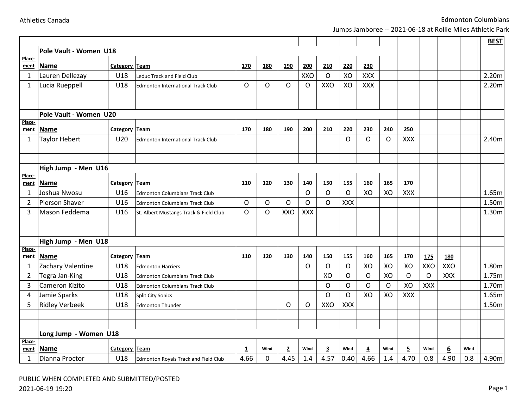|  | <b>Athletics Canada</b> |
|--|-------------------------|
|  |                         |

|                |                        |               |                                          |             |            |                |            |              |              |                |             |                |            |            |      | <b>BEST</b> |
|----------------|------------------------|---------------|------------------------------------------|-------------|------------|----------------|------------|--------------|--------------|----------------|-------------|----------------|------------|------------|------|-------------|
|                | Pole Vault - Women U18 |               |                                          |             |            |                |            |              |              |                |             |                |            |            |      |             |
| Place-         |                        |               |                                          |             |            |                |            |              |              |                |             |                |            |            |      |             |
| ment           | Name                   | Category Team |                                          | 170         | 180        | <b>190</b>     | 200        | 210          | 220          | 230            |             |                |            |            |      |             |
| $\mathbf{1}$   | Lauren Dellezay        | U18           | <b>Leduc Track and Field Club</b>        |             |            |                | XXO        | $\mathsf{O}$ | XO           | XXX            |             |                |            |            |      | 2.20m       |
| $\mathbf{1}$   | Lucia Rueppell         | U18           | <b>Edmonton International Track Club</b> | $\circ$     | $\circ$    | O              | O          | <b>XXO</b>   | XO           | XXX            |             |                |            |            |      | 2.20m       |
|                |                        |               |                                          |             |            |                |            |              |              |                |             |                |            |            |      |             |
|                |                        |               |                                          |             |            |                |            |              |              |                |             |                |            |            |      |             |
|                | Pole Vault - Women U20 |               |                                          |             |            |                |            |              |              |                |             |                |            |            |      |             |
| Place-<br>ment | <b>Name</b>            | Category Team |                                          | 170         | <b>180</b> | <u>190</u>     | 200        | 210          | 220          | 230            | 240         | 250            |            |            |      |             |
| $\mathbf{1}$   | <b>Taylor Hebert</b>   | U20           | <b>Edmonton International Track Club</b> |             |            |                |            |              | O            | $\mathsf O$    | $\circ$     | XXX            |            |            |      | 2.40m       |
|                |                        |               |                                          |             |            |                |            |              |              |                |             |                |            |            |      |             |
|                |                        |               |                                          |             |            |                |            |              |              |                |             |                |            |            |      |             |
|                | High Jump - Men U16    |               |                                          |             |            |                |            |              |              |                |             |                |            |            |      |             |
| Place-         |                        |               |                                          |             |            |                |            |              |              |                |             |                |            |            |      |             |
| ment           | Name                   | Category Team |                                          | 110         | 120        | <b>130</b>     | 140        | 150          | <b>155</b>   | 160            | <b>165</b>  | 170            |            |            |      |             |
| 1              | Joshua Nwosu           | U16           | <b>Edmonton Columbians Track Club</b>    |             |            |                | O          | $\circ$      | $\circ$      | XO             | XO          | <b>XXX</b>     |            |            |      | 1.65m       |
| $\overline{2}$ | Pierson Shaver         | U16           | <b>Edmonton Columbians Track Club</b>    | $\circ$     | $\circ$    | O              | O          | $\circ$      | XXX          |                |             |                |            |            |      | 1.50m       |
| 3              | Mason Feddema          | U16           | St. Albert Mustangs Track & Field Club   | $\circ$     | O          | XXO            | <b>XXX</b> |              |              |                |             |                |            |            |      | 1.30m       |
|                |                        |               |                                          |             |            |                |            |              |              |                |             |                |            |            |      |             |
|                |                        |               |                                          |             |            |                |            |              |              |                |             |                |            |            |      |             |
| Place-         | High Jump - Men U18    |               |                                          |             |            |                |            |              |              |                |             |                |            |            |      |             |
| ment           | <b>Name</b>            | Category Team |                                          | 110         | 120        | 130            | 140        | 150          | <b>155</b>   | 160            | <b>165</b>  | 170            | <b>175</b> | 180        |      |             |
| $\mathbf{1}$   | Zachary Valentine      | U18           | <b>Edmonton Harriers</b>                 |             |            |                | O          | O            | $\circ$      | XO             | XO          | XO             | XXO        | XXO        |      | 1.80m       |
| $\overline{2}$ | Tegra Jan-King         | U18           | <b>Edmonton Columbians Track Club</b>    |             |            |                |            | XO           | $\circ$      | O              | XO          | $\circ$        | $\circ$    | <b>XXX</b> |      | 1.75m       |
| 3              | Cameron Kizito         | U18           | <b>Edmonton Columbians Track Club</b>    |             |            |                |            | $\circ$      | $\circ$      | O              | $\mathsf O$ | XO             | <b>XXX</b> |            |      | 1.70m       |
| 4              | Jamie Sparks           | U18           | <b>Split City Sonics</b>                 |             |            |                |            | $\circ$      | $\mathsf{O}$ | XO             | XO          | <b>XXX</b>     |            |            |      | 1.65m       |
| 5              | <b>Ridley Verbeek</b>  | U18           | <b>Edmonton Thunder</b>                  |             |            | O              | O          | XXO          | <b>XXX</b>   |                |             |                |            |            |      | 1.50m       |
|                |                        |               |                                          |             |            |                |            |              |              |                |             |                |            |            |      |             |
|                |                        |               |                                          |             |            |                |            |              |              |                |             |                |            |            |      |             |
|                | Long Jump - Women U18  |               |                                          |             |            |                |            |              |              |                |             |                |            |            |      |             |
| Place-<br>ment | <b>Name</b>            | Category Team |                                          | $\mathbf 1$ | Wind       | $\overline{2}$ | Wind       | 3            | Wind         | $\overline{4}$ | Wind        | $\overline{5}$ | Wind       | 6          | Wind |             |
| 1              | Dianna Proctor         | U18           | Edmonton Royals Track and Field Club     | 4.66        | 0          | 4.45           | 1.4        | 4.57         | 0.40         | 4.66           | 1.4         | 4.70           | 0.8        | 4.90       | 0.8  | 4.90m       |
|                |                        |               |                                          |             |            |                |            |              |              |                |             |                |            |            |      |             |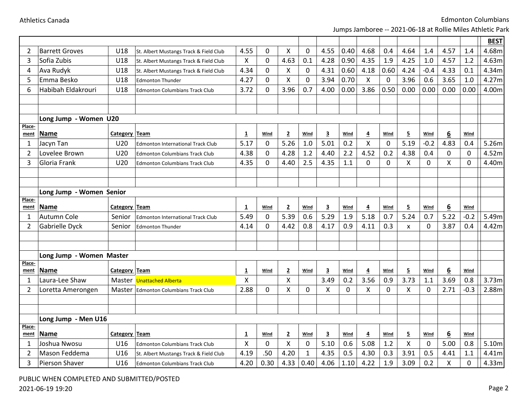|                     |                               |               |                                                                                 |                         |                |                    |                             |                         |            |                |             |                           |             |                  |             | <b>BEST</b>    |
|---------------------|-------------------------------|---------------|---------------------------------------------------------------------------------|-------------------------|----------------|--------------------|-----------------------------|-------------------------|------------|----------------|-------------|---------------------------|-------------|------------------|-------------|----------------|
| 2                   | <b>Barrett Groves</b>         | U18           | St. Albert Mustangs Track & Field Club                                          | 4.55                    | 0              | X                  | $\mathbf 0$                 | 4.55                    | 0.40       | 4.68           | 0.4         | 4.64                      | 1.4         | 4.57             | 1.4         | 4.68m          |
| 3                   | Sofia Zubis                   | U18           | St. Albert Mustangs Track & Field Club                                          | X                       | $\overline{0}$ | 4.63               | 0.1                         | 4.28                    | 0.90       | 4.35           | 1.9         | 4.25                      | 1.0         | 4.57             | 1.2         | 4.63m          |
| 4                   | Ava Rudyk                     | U18           | St. Albert Mustangs Track & Field Club                                          | 4.34                    | 0              | Χ                  | $\mathbf 0$                 | 4.31                    | 0.60       | 4.18           | 0.60        | 4.24                      | $-0.4$      | 4.33             | 0.1         | 4.34m          |
| 5                   | Emma Besko                    | U18           | <b>Edmonton Thunder</b>                                                         | 4.27                    | 0              | Χ                  | $\mathbf 0$                 | 3.94                    | 0.70       | X              | 0           | 3.96                      | 0.6         | 3.65             | 1.0         | 4.27m          |
| 6                   | Habibah Eldakrouri            | U18           | <b>Edmonton Columbians Track Club</b>                                           | 3.72                    | 0              | 3.96               | 0.7                         | 4.00                    | 0.00       | 3.86           | 0.50        | 0.00                      | 0.00        | 0.00             | 0.00        | 4.00m          |
|                     |                               |               |                                                                                 |                         |                |                    |                             |                         |            |                |             |                           |             |                  |             |                |
|                     |                               |               |                                                                                 |                         |                |                    |                             |                         |            |                |             |                           |             |                  |             |                |
|                     | Long Jump - Women U20         |               |                                                                                 |                         |                |                    |                             |                         |            |                |             |                           |             |                  |             |                |
| Place-<br>ment      | <b>Name</b>                   | Category Team |                                                                                 | 1                       | Wind           | $\overline{2}$     | Wind                        | $\overline{\mathbf{3}}$ | Wind       | 4              | Wind        | 5                         | Wind        | 6                | Wind        |                |
| 1                   | Jacyn Tan                     | U20           | <b>Edmonton International Track Club</b>                                        | 5.17                    | 0              | 5.26               | 1.0                         | 5.01                    | 0.2        | X              | 0           | 5.19                      | $-0.2$      | 4.83             | 0.4         | 5.26m          |
| $\overline{2}$      | Lovelee Brown                 | U20           | <b>Edmonton Columbians Track Club</b>                                           | 4.38                    | $\mathbf 0$    | 4.28               | 1.2                         | 4.40                    | 2.2        | 4.52           | 0.2         | 4.38                      | 0.4         | 0                | $\mathbf 0$ | 4.52m          |
| 3                   | Gloria Frank                  | U20           | <b>Edmonton Columbians Track Club</b>                                           | 4.35                    | $\overline{0}$ | 4.40               | 2.5                         | 4.35                    | 1.1        | $\mathbf 0$    | $\mathbf 0$ | X                         | $\mathbf 0$ | X                | $\mathbf 0$ | 4.40m          |
|                     |                               |               |                                                                                 |                         |                |                    |                             |                         |            |                |             |                           |             |                  |             |                |
|                     |                               |               |                                                                                 |                         |                |                    |                             |                         |            |                |             |                           |             |                  |             |                |
|                     | Long Jump - Women Senior      |               |                                                                                 |                         |                |                    |                             |                         |            |                |             |                           |             |                  |             |                |
| Place-              |                               |               |                                                                                 |                         |                |                    |                             |                         |            |                |             |                           |             |                  |             |                |
|                     |                               |               |                                                                                 |                         |                |                    |                             |                         |            |                |             |                           |             |                  |             |                |
| ment                | Name                          | Category Team |                                                                                 | $\mathbf{1}$            | Wind           | $\overline{2}$     | Wind                        | $\overline{\mathbf{3}}$ | Wind       | $\overline{4}$ | Wind        | $\overline{5}$            | Wind        | 6                | Wind        |                |
| 1                   | Autumn Cole                   | Senior        | <b>Edmonton International Track Club</b>                                        | 5.49                    | 0              | 5.39               | 0.6                         | 5.29                    | 1.9        | 5.18           | 0.7         | 5.24                      | 0.7         | 5.22             | $-0.2$      | 5.49m          |
| $\overline{2}$      | Gabrielle Dyck                | Senior        | <b>Edmonton Thunder</b>                                                         | 4.14                    | $\mathbf{0}$   | 4.42               | 0.8                         | 4.17                    | 0.9        | 4.11           | 0.3         | $\boldsymbol{\mathsf{x}}$ | $\Omega$    | 3.87             | 0.4         | 4.42m          |
|                     |                               |               |                                                                                 |                         |                |                    |                             |                         |            |                |             |                           |             |                  |             |                |
|                     |                               |               |                                                                                 |                         |                |                    |                             |                         |            |                |             |                           |             |                  |             |                |
|                     | Long Jump - Women Master      |               |                                                                                 |                         |                |                    |                             |                         |            |                |             |                           |             |                  |             |                |
| Place-<br>ment      | <b>Name</b>                   | Category Team |                                                                                 | $\overline{\mathbf{1}}$ | Wind           | $\overline{2}$     | Wind                        | $\overline{\mathbf{3}}$ | Wind       | $\overline{4}$ | Wind        | $\overline{5}$            | Wind        | $6 \overline{6}$ | Wind        |                |
| 1                   | Laura-Lee Shaw                |               | Master Unattached Alberta                                                       | X                       |                | $\pmb{\mathsf{X}}$ |                             | 3.49                    | 0.2        | 3.56           | 0.9         | 3.73                      | 1.1         | 3.69             | 0.8         | 3.73m          |
| $\overline{2}$      | Loretta Amerongen             |               | Master Edmonton Columbians Track Club                                           | 2.88                    | 0              | X                  | $\Omega$                    | X                       | $\Omega$   | X              | $\mathbf 0$ | X                         | $\Omega$    | 2.71             | $-0.3$      | 2.88m          |
|                     |                               |               |                                                                                 |                         |                |                    |                             |                         |            |                |             |                           |             |                  |             |                |
|                     |                               |               |                                                                                 |                         |                |                    |                             |                         |            |                |             |                           |             |                  |             |                |
|                     | Long Jump - Men U16           |               |                                                                                 |                         |                |                    |                             |                         |            |                |             |                           |             |                  |             |                |
| Place-              |                               |               |                                                                                 |                         |                |                    |                             |                         |            |                |             |                           |             |                  |             |                |
| ment                | Name                          | Category Team |                                                                                 | $\overline{\mathbf{1}}$ | Wind           | $\overline{2}$     | Wind                        | $\overline{\mathbf{3}}$ | Wind       | 4              | Wind        | $\overline{5}$            | Wind        | 6                | Wind        |                |
| 1<br>$\overline{2}$ | Joshua Nwosu<br>Mason Feddema | U16<br>U16    | <b>Edmonton Columbians Track Club</b><br>St. Albert Mustangs Track & Field Club | Χ<br>4.19               | 0<br>.50       | X<br>4.20          | $\mathbf 0$<br>$\mathbf{1}$ | 5.10<br>4.35            | 0.6<br>0.5 | 5.08<br>4.30   | 1.2<br>0.3  | Χ<br>3.91                 | 0<br>0.5    | 5.00<br>4.41     | 0.8<br>1.1  | 5.10m<br>4.41m |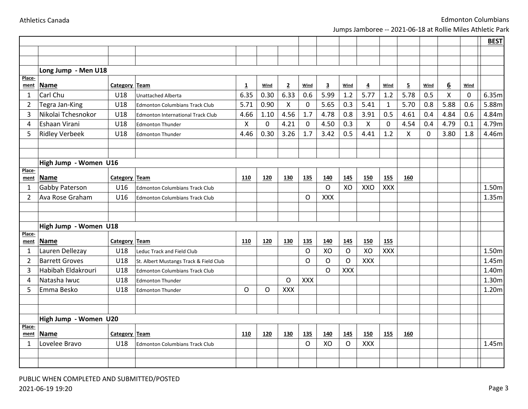|                     |                                      |                      |                                          |                        |           |                |                    |                         |            |                        |                     |                |              |      |      | <b>BEST</b> |
|---------------------|--------------------------------------|----------------------|------------------------------------------|------------------------|-----------|----------------|--------------------|-------------------------|------------|------------------------|---------------------|----------------|--------------|------|------|-------------|
|                     |                                      |                      |                                          |                        |           |                |                    |                         |            |                        |                     |                |              |      |      |             |
|                     |                                      |                      |                                          |                        |           |                |                    |                         |            |                        |                     |                |              |      |      |             |
|                     | Long Jump - Men U18                  |                      |                                          |                        |           |                |                    |                         |            |                        |                     |                |              |      |      |             |
| Place-              | <b>Name</b>                          | Category Team        |                                          |                        | Wind      | $\overline{2}$ | Wind               | $\overline{\mathbf{3}}$ | Wind       |                        | Wind                | $\overline{5}$ | Wind         | 6    | Wind |             |
| ment<br>1           | Carl Chu                             | U18                  |                                          | $\overline{1}$<br>6.35 | 0.30      | 6.33           | 0.6                | 5.99                    | 1.2        | $\overline{4}$<br>5.77 | 1.2                 | 5.78           | 0.5          | X    | 0    | 6.35m       |
|                     |                                      | U18                  | <b>Unattached Alberta</b>                | 5.71                   | 0.90      | $\mathsf{X}$   |                    | 5.65                    | 0.3        | 5.41                   |                     | 5.70           | 0.8          | 5.88 | 0.6  | 5.88m       |
| $\overline{2}$<br>3 | Tegra Jan-King<br>Nikolai Tchesnokor | U18                  | <b>Edmonton Columbians Track Club</b>    | 4.66                   | 1.10      | 4.56           | $\mathbf 0$<br>1.7 | 4.78                    | 0.8        | 3.91                   | $\mathbf{1}$<br>0.5 | 4.61           | 0.4          | 4.84 | 0.6  | 4.84m       |
|                     | Eshaan Virani                        | U18                  | <b>Edmonton International Track Club</b> |                        |           | 4.21           |                    |                         | 0.3        |                        |                     | 4.54           |              |      |      |             |
| 4                   |                                      |                      | <b>Edmonton Thunder</b>                  | X                      | $\pmb{0}$ |                | $\mathbf 0$        | 4.50                    |            | $\pmb{\times}$         | $\mathbf 0$         |                | 0.4          | 4.79 | 0.1  | 4.79m       |
| 5                   | <b>Ridley Verbeek</b>                | U18                  | Edmonton Thunder                         | 4.46                   | 0.30      | 3.26           | 1.7                | 3.42                    | 0.5        | 4.41                   | 1.2                 | X              | $\mathbf{0}$ | 3.80 | 1.8  | 4.46m       |
|                     |                                      |                      |                                          |                        |           |                |                    |                         |            |                        |                     |                |              |      |      |             |
|                     |                                      |                      |                                          |                        |           |                |                    |                         |            |                        |                     |                |              |      |      |             |
| Place-              | High Jump - Women U16                |                      |                                          |                        |           |                |                    |                         |            |                        |                     |                |              |      |      |             |
| ment                | <b>Name</b>                          | <b>Category Team</b> |                                          | <b>110</b>             | 120       | <b>130</b>     | <b>135</b>         | 140                     | 145        | <b>150</b>             | <b>155</b>          | 160            |              |      |      |             |
| $\mathbf{1}$        | Gabby Paterson                       | U16                  | <b>Edmonton Columbians Track Club</b>    |                        |           |                |                    | $\circ$                 | XO         | XXO                    | <b>XXX</b>          |                |              |      |      | 1.50m       |
| $\overline{2}$      | Ava Rose Graham                      | U16                  | <b>Edmonton Columbians Track Club</b>    |                        |           |                | O                  | XXX                     |            |                        |                     |                |              |      |      | 1.35m       |
|                     |                                      |                      |                                          |                        |           |                |                    |                         |            |                        |                     |                |              |      |      |             |
|                     |                                      |                      |                                          |                        |           |                |                    |                         |            |                        |                     |                |              |      |      |             |
|                     | High Jump - Women U18                |                      |                                          |                        |           |                |                    |                         |            |                        |                     |                |              |      |      |             |
| Place-              |                                      |                      |                                          |                        |           |                |                    |                         |            |                        |                     |                |              |      |      |             |
| ment                | <b>Name</b>                          | <b>Category Team</b> |                                          | 110                    | 120       | 130            | 135                | 140                     | <u>145</u> | <b>150</b>             | <b>155</b>          |                |              |      |      |             |
| 1                   | Lauren Dellezay                      | U18                  | Leduc Track and Field Club               |                        |           |                | O                  | XO                      | $\circ$    | XO                     | <b>XXX</b>          |                |              |      |      | 1.50m       |
| 2                   | <b>Barrett Groves</b>                | U18                  | St. Albert Mustangs Track & Field Club   |                        |           |                | O                  | $\circ$                 | $\circ$    | XXX                    |                     |                |              |      |      | 1.45m       |
| 3                   | Habibah Eldakrouri                   | U18                  | <b>Edmonton Columbians Track Club</b>    |                        |           |                |                    | $\Omega$                | <b>XXX</b> |                        |                     |                |              |      |      | 1.40m       |
| 4                   | Natasha Iwuc                         | U18                  | <b>Edmonton Thunder</b>                  |                        |           | $\circ$        | <b>XXX</b>         |                         |            |                        |                     |                |              |      |      | 1.30m       |
| 5                   | Emma Besko                           | U18                  | <b>Edmonton Thunder</b>                  | O                      | O         | <b>XXX</b>     |                    |                         |            |                        |                     |                |              |      |      | 1.20m       |
|                     |                                      |                      |                                          |                        |           |                |                    |                         |            |                        |                     |                |              |      |      |             |
|                     |                                      |                      |                                          |                        |           |                |                    |                         |            |                        |                     |                |              |      |      |             |
| Place-              | High Jump - Women U20                |                      |                                          |                        |           |                |                    |                         |            |                        |                     |                |              |      |      |             |
| ment                | Name                                 | Category Team        |                                          | <b>110</b>             | 120       | <b>130</b>     | 135                | 140                     | 145        | <b>150</b>             | 155                 | 160            |              |      |      |             |
| 1                   | Lovelee Bravo                        | U <sub>18</sub>      | <b>Edmonton Columbians Track Club</b>    |                        |           |                | O                  | XO                      | O          | XXX                    |                     |                |              |      |      | 1.45m       |
|                     |                                      |                      |                                          |                        |           |                |                    |                         |            |                        |                     |                |              |      |      |             |
|                     |                                      |                      |                                          |                        |           |                |                    |                         |            |                        |                     |                |              |      |      |             |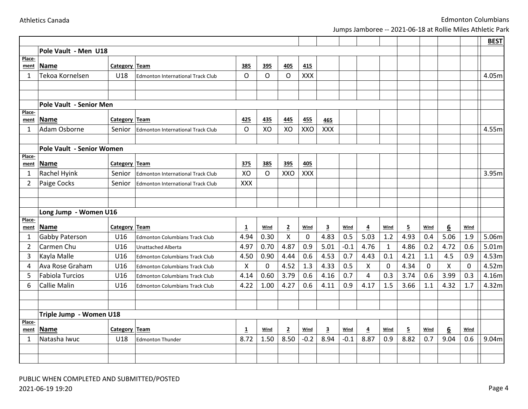|                      |                                  |                      |                                          |                         |             |                |            |                         |        |                         |              |                         |             |      |             | <b>BEST</b> |
|----------------------|----------------------------------|----------------------|------------------------------------------|-------------------------|-------------|----------------|------------|-------------------------|--------|-------------------------|--------------|-------------------------|-------------|------|-------------|-------------|
|                      | Pole Vault - Men U18             |                      |                                          |                         |             |                |            |                         |        |                         |              |                         |             |      |             |             |
| Place-<br>ment       | Name                             | Category Team        |                                          | 385                     | 395         | <b>405</b>     | <b>415</b> |                         |        |                         |              |                         |             |      |             |             |
| 1                    | Tekoa Kornelsen                  | U18                  | <b>Edmonton International Track Club</b> | O                       | O           | O              | <b>XXX</b> |                         |        |                         |              |                         |             |      |             | 4.05m       |
|                      |                                  |                      |                                          |                         |             |                |            |                         |        |                         |              |                         |             |      |             |             |
|                      |                                  |                      |                                          |                         |             |                |            |                         |        |                         |              |                         |             |      |             |             |
|                      | Pole Vault - Senior Men          |                      |                                          |                         |             |                |            |                         |        |                         |              |                         |             |      |             |             |
| Place-<br>ment       | <b>Name</b>                      | Category Team        |                                          | 425                     | 435         | 445            | 455        | 465                     |        |                         |              |                         |             |      |             |             |
| 1                    | Adam Osborne                     | Senior               | <b>Edmonton International Track Club</b> | O                       | XO          | XO             | XXO        | <b>XXX</b>              |        |                         |              |                         |             |      |             | 4.55m       |
|                      |                                  |                      |                                          |                         |             |                |            |                         |        |                         |              |                         |             |      |             |             |
|                      | <b>Pole Vault - Senior Women</b> |                      |                                          |                         |             |                |            |                         |        |                         |              |                         |             |      |             |             |
| Place-               |                                  | <b>Category Team</b> |                                          | 375                     | 385         | 395            | 405        |                         |        |                         |              |                         |             |      |             |             |
| ment<br>$\mathbf{1}$ | <b>Name</b><br>Rachel Hyink      | Senior               | <b>Edmonton International Track Club</b> | XO                      | O           | XXO            | <b>XXX</b> |                         |        |                         |              |                         |             |      |             | 3.95m       |
| $\overline{2}$       | Paige Cocks                      | Senior               |                                          | XXX                     |             |                |            |                         |        |                         |              |                         |             |      |             |             |
|                      |                                  |                      | <b>Edmonton International Track Club</b> |                         |             |                |            |                         |        |                         |              |                         |             |      |             |             |
|                      |                                  |                      |                                          |                         |             |                |            |                         |        |                         |              |                         |             |      |             |             |
|                      | Long Jump - Women U16            |                      |                                          |                         |             |                |            |                         |        |                         |              |                         |             |      |             |             |
| Place-               |                                  |                      |                                          |                         |             |                |            |                         |        |                         |              |                         |             |      |             |             |
| ment                 | <b>Name</b>                      | Category Team        |                                          | $\overline{\mathbf{1}}$ | <b>Wind</b> | $\overline{2}$ | Wind       | $\overline{\mathbf{3}}$ | Wind   | $\overline{\mathbf{4}}$ | Wind         | $\overline{\mathbf{5}}$ | Wind        | 6    | Wind        |             |
| 1                    | Gabby Paterson                   | U16                  | <b>Edmonton Columbians Track Club</b>    | 4.94                    | 0.30        | X              | 0          | 4.83                    | 0.5    | 5.03                    | 1.2          | 4.93                    | 0.4         | 5.06 | 1.9         | 5.06m       |
| 2                    | Carmen Chu                       | U16                  | <b>Unattached Alberta</b>                | 4.97                    | 0.70        | 4.87           | 0.9        | 5.01                    | $-0.1$ | 4.76                    | $\mathbf{1}$ | 4.86                    | 0.2         | 4.72 | 0.6         | 5.01m       |
| 3                    | Kayla Malle                      | U16                  | <b>Edmonton Columbians Track Club</b>    | 4.50                    | 0.90        | 4.44           | 0.6        | 4.53                    | 0.7    | 4.43                    | 0.1          | 4.21                    | 1.1         | 4.5  | 0.9         | 4.53m       |
| 4                    | Ava Rose Graham                  | U16                  | <b>Edmonton Columbians Track Club</b>    | X                       | $\mathbf 0$ | 4.52           | 1.3        | 4.33                    | 0.5    | X                       | $\mathbf 0$  | 4.34                    | $\mathbf 0$ | X    | $\mathbf 0$ | 4.52m       |
| 5                    | <b>Fabiola Turcios</b>           | U16                  | <b>Edmonton Columbians Track Club</b>    | 4.14                    | 0.60        | 3.79           | 0.6        | 4.16                    | 0.7    | 4                       | 0.3          | 3.74                    | 0.6         | 3.99 | 0.3         | 4.16m       |
| 6                    | <b>Callie Malin</b>              | U16                  | <b>Edmonton Columbians Track Club</b>    | 4.22                    | 1.00        | 4.27           | 0.6        | 4.11                    | 0.9    | 4.17                    | 1.5          | 3.66                    | 1.1         | 4.32 | 1.7         | 4.32m       |
|                      |                                  |                      |                                          |                         |             |                |            |                         |        |                         |              |                         |             |      |             |             |
|                      |                                  |                      |                                          |                         |             |                |            |                         |        |                         |              |                         |             |      |             |             |
|                      | Triple Jump - Women U18          |                      |                                          |                         |             |                |            |                         |        |                         |              |                         |             |      |             |             |
| Place-<br>ment       | <b>Name</b>                      | Category Team        |                                          | 1                       | Wind        | $\overline{2}$ | Wind       | $\overline{\mathbf{3}}$ | Wind   | $\overline{4}$          | Wind         | $\overline{\mathbf{5}}$ | <b>Wind</b> | 6    | Wind        |             |
| 1                    | Natasha Iwuc                     | U18                  | <b>Edmonton Thunder</b>                  | 8.72                    | 1.50        | 8.50           | $-0.2$     | 8.94                    | $-0.1$ | 8.87                    | 0.9          | 8.82                    | 0.7         | 9.04 | 0.6         | 9.04m       |
|                      |                                  |                      |                                          |                         |             |                |            |                         |        |                         |              |                         |             |      |             |             |
|                      |                                  |                      |                                          |                         |             |                |            |                         |        |                         |              |                         |             |      |             |             |
|                      |                                  |                      |                                          |                         |             |                |            |                         |        |                         |              |                         |             |      |             |             |